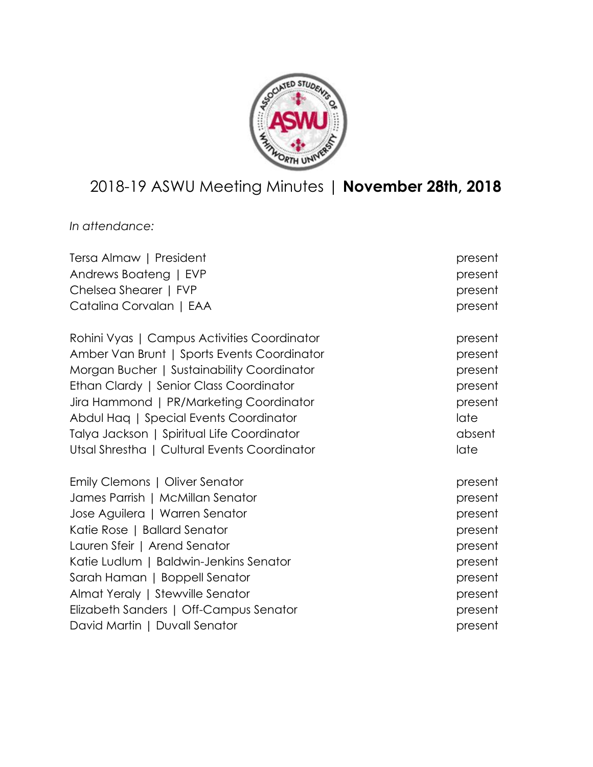

# 2018-19 ASWU Meeting Minutes | **November 28th, 2018**

*In attendance:*

| Tersa Almaw   President                      | present |
|----------------------------------------------|---------|
| Andrews Boateng   EVP                        | present |
| Chelsea Shearer   FVP                        | present |
| Catalina Corvalan   EAA                      | present |
| Rohini Vyas   Campus Activities Coordinator  | present |
| Amber Van Brunt   Sports Events Coordinator  | present |
| Morgan Bucher   Sustainability Coordinator   | present |
| Ethan Clardy   Senior Class Coordinator      | present |
| Jira Hammond   PR/Marketing Coordinator      | present |
| Abdul Haq   Special Events Coordinator       | late    |
| Talya Jackson   Spiritual Life Coordinator   | absent  |
| Utsal Shrestha   Cultural Events Coordinator | late    |
| Emily Clemons   Oliver Senator               | present |
| James Parrish   McMillan Senator             | present |
| Jose Aguilera   Warren Senator               | present |
| Katie Rose   Ballard Senator                 | present |
| Lauren Sfeir   Arend Senator                 | present |
| Katie Ludlum   Baldwin-Jenkins Senator       | present |
| Sarah Haman   Boppell Senator                | present |
| Almat Yeraly   Stewville Senator             | present |
| Elizabeth Sanders   Off-Campus Senator       | present |
| David Martin   Duvall Senator                | present |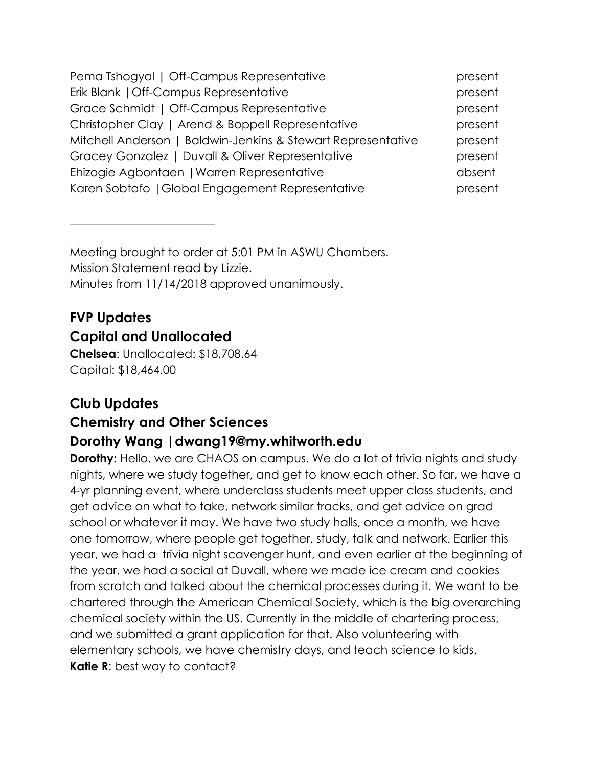| Pema Tshogyal   Off-Campus Representative                    | present |
|--------------------------------------------------------------|---------|
| Erik Blank   Off-Campus Representative                       | present |
| Grace Schmidt   Off-Campus Representative                    | present |
| Christopher Clay   Arend & Boppell Representative            | present |
| Mitchell Anderson   Baldwin-Jenkins & Stewart Representative | present |
| Gracey Gonzalez   Duvall & Oliver Representative             | present |
| Ehizogie Agbontaen   Warren Representative                   | absent  |
| Karen Sobtafo   Global Engagement Representative             | present |

Meeting brought to order at 5:01 PM in ASWU Chambers. Mission Statement read by Lizzie. Minutes from 11/14/2018 approved unanimously.

# **FVP Updates Capital and Unallocated**

 $\overline{\phantom{a}}$  , where  $\overline{\phantom{a}}$  , where  $\overline{\phantom{a}}$  , where  $\overline{\phantom{a}}$  ,  $\overline{\phantom{a}}$  ,  $\overline{\phantom{a}}$  ,  $\overline{\phantom{a}}$  ,  $\overline{\phantom{a}}$  ,  $\overline{\phantom{a}}$  ,  $\overline{\phantom{a}}$  ,  $\overline{\phantom{a}}$  ,  $\overline{\phantom{a}}$  ,  $\overline{\phantom{a}}$  ,  $\overline{\phantom{a}}$  ,  $\overline{\phantom$ 

**Chelsea**: Unallocated: \$18,708.64 Capital: \$18,464.00

# **Club Updates**

# **Chemistry and Other Sciences Dorothy Wang |dwang19@my.whitworth.edu**

**Dorothy:** Hello, we are CHAOS on campus. We do a lot of trivia nights and study nights, where we study together, and get to know each other. So far, we have a 4-yr planning event, where underclass students meet upper class students, and get advice on what to take, network similar tracks, and get advice on grad school or whatever it may. We have two study halls, once a month, we have one tomorrow, where people get together, study, talk and network. Earlier this year, we had a trivia night scavenger hunt, and even earlier at the beginning of the year, we had a social at Duvall, where we made ice cream and cookies from scratch and talked about the chemical processes during it. We want to be chartered through the American Chemical Society, which is the big overarching chemical society within the US. Currently in the middle of chartering process, and we submitted a grant application for that. Also volunteering with elementary schools, we have chemistry days, and teach science to kids. **Katie R:** best way to contact?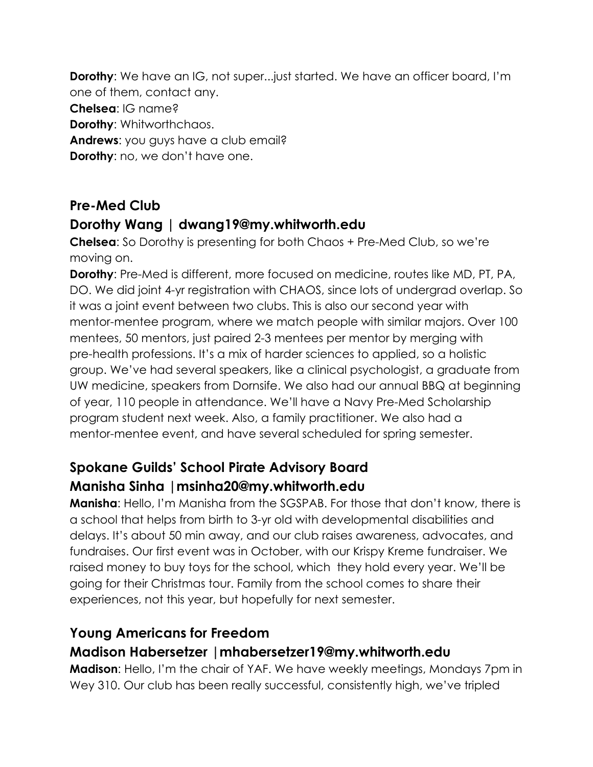**Dorothy:** We have an IG, not super...just started. We have an officer board, I'm one of them, contact any. **Chelsea**: IG name? **Dorothy**: Whitworthchaos. **Andrews**: you guys have a club email? **Dorothy:** no, we don't have one.

# **Pre-Med Club**

# **Dorothy Wang | dwang19@my.whitworth.edu**

**Chelsea**: So Dorothy is presenting for both Chaos + Pre-Med Club, so we're moving on.

**Dorothy**: Pre-Med is different, more focused on medicine, routes like MD, PT, PA, DO. We did joint 4-yr registration with CHAOS, since lots of undergrad overlap. So it was a joint event between two clubs. This is also our second year with mentor-mentee program, where we match people with similar majors. Over 100 mentees, 50 mentors, just paired 2-3 mentees per mentor by merging with pre-health professions. It's a mix of harder sciences to applied, so a holistic group. We've had several speakers, like a clinical psychologist, a graduate from UW medicine, speakers from Dornsife. We also had our annual BBQ at beginning of year, 110 people in attendance. We'll have a Navy Pre-Med Scholarship program student next week. Also, a family practitioner. We also had a mentor-mentee event, and have several scheduled for spring semester.

# **Spokane Guilds' School Pirate Advisory Board Manisha Sinha |msinha20@my.whitworth.edu**

**Manisha**: Hello, I'm Manisha from the SGSPAB. For those that don't know, there is a school that helps from birth to 3-yr old with developmental disabilities and delays. It's about 50 min away, and our club raises awareness, advocates, and fundraises. Our first event was in October, with our Krispy Kreme fundraiser. We raised money to buy toys for the school, which they hold every year. We'll be going for their Christmas tour. Family from the school comes to share their experiences, not this year, but hopefully for next semester.

# **Young Americans for Freedom**

# **Madison Habersetzer |mhabersetzer19@my.whitworth.edu**

**Madison**: Hello, I'm the chair of YAF. We have weekly meetings, Mondays 7pm in Wey 310. Our club has been really successful, consistently high, we've tripled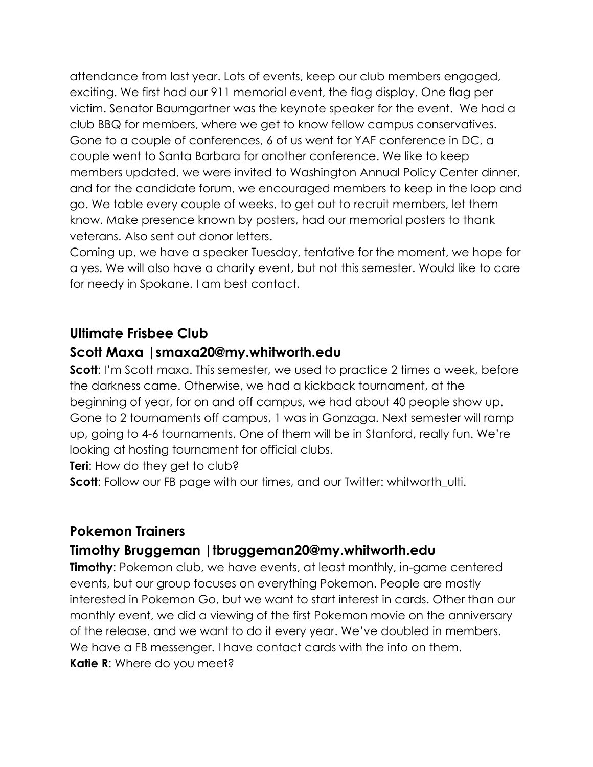attendance from last year. Lots of events, keep our club members engaged, exciting. We first had our 911 memorial event, the flag display. One flag per victim. Senator Baumgartner was the keynote speaker for the event. We had a club BBQ for members, where we get to know fellow campus conservatives. Gone to a couple of conferences, 6 of us went for YAF conference in DC, a couple went to Santa Barbara for another conference. We like to keep members updated, we were invited to Washington Annual Policy Center dinner, and for the candidate forum, we encouraged members to keep in the loop and go. We table every couple of weeks, to get out to recruit members, let them know. Make presence known by posters, had our memorial posters to thank veterans. Also sent out donor letters.

Coming up, we have a speaker Tuesday, tentative for the moment, we hope for a yes. We will also have a charity event, but not this semester. Would like to care for needy in Spokane. I am best contact.

# **Ultimate Frisbee Club**

# **Scott Maxa |smaxa20@my.whitworth.edu**

**Scott**: I'm Scott maxa. This semester, we used to practice 2 times a week, before the darkness came. Otherwise, we had a kickback tournament, at the beginning of year, for on and off campus, we had about 40 people show up. Gone to 2 tournaments off campus, 1 was in Gonzaga. Next semester will ramp up, going to 4-6 tournaments. One of them will be in Stanford, really fun. We're looking at hosting tournament for official clubs.

**Teri:** How do they get to club?

**Scott:** Follow our FB page with our times, and our Twitter: whitworth ulti.

# **Pokemon Trainers**

# **Timothy Bruggeman |tbruggeman20@my.whitworth.edu**

**Timothy**: Pokemon club, we have events, at least monthly, in-game centered events, but our group focuses on everything Pokemon. People are mostly interested in Pokemon Go, but we want to start interest in cards. Other than our monthly event, we did a viewing of the first Pokemon movie on the anniversary of the release, and we want to do it every year. We've doubled in members. We have a FB messenger. I have contact cards with the info on them. **Katie R**: Where do you meet?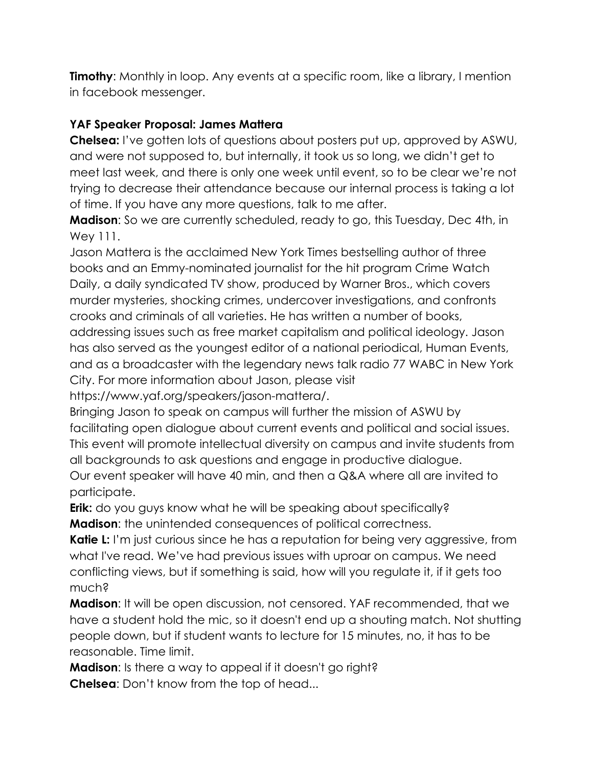**Timothy**: Monthly in loop. Any events at a specific room, like a library, I mention in facebook messenger.

#### **YAF Speaker Proposal: James Mattera**

**Chelsea:** I've gotten lots of questions about posters put up, approved by ASWU, and were not supposed to, but internally, it took us so long, we didn't get to meet last week, and there is only one week until event, so to be clear we're not trying to decrease their attendance because our internal process is taking a lot of time. If you have any more questions, talk to me after.

**Madison**: So we are currently scheduled, ready to go, this Tuesday, Dec 4th, in Wey 111.

Jason Mattera is the acclaimed New York Times bestselling author of three books and an Emmy-nominated journalist for the hit program Crime Watch Daily, a daily syndicated TV show, produced by Warner Bros., which covers murder mysteries, shocking crimes, undercover investigations, and confronts crooks and criminals of all varieties. He has written a number of books,

addressing issues such as free market capitalism and political ideology. Jason has also served as the youngest editor of a national periodical, Human Events, and as a broadcaster with the legendary news talk radio 77 WABC in New York City. For more information about Jason, please visit

https://www.yaf.org/speakers/jason-mattera/.

Bringing Jason to speak on campus will further the mission of ASWU by facilitating open dialogue about current events and political and social issues. This event will promote intellectual diversity on campus and invite students from all backgrounds to ask questions and engage in productive dialogue.

Our event speaker will have 40 min, and then a Q&A where all are invited to participate.

**Erik:** do you guys know what he will be speaking about specifically? **Madison**: the unintended consequences of political correctness.

**Katie L:** I'm just curious since he has a reputation for being very aggressive, from what I've read. We've had previous issues with uproar on campus. We need conflicting views, but if something is said, how will you regulate it, if it gets too much?

**Madison**: It will be open discussion, not censored. YAF recommended, that we have a student hold the mic, so it doesn't end up a shouting match. Not shutting people down, but if student wants to lecture for 15 minutes, no, it has to be reasonable. Time limit.

**Madison**: Is there a way to appeal if it doesn't go right? **Chelsea**: Don't know from the top of head...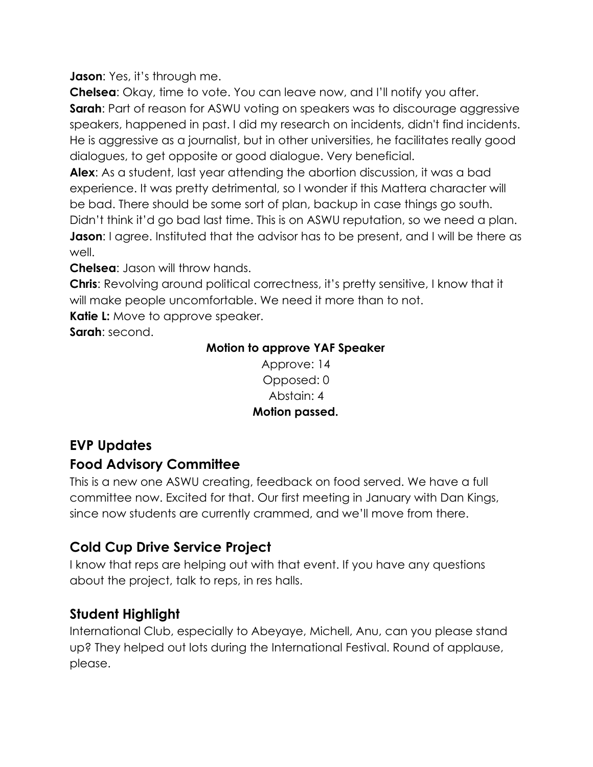**Jason:** Yes, it's through me.

**Chelsea**: Okay, time to vote. You can leave now, and I'll notify you after. **Sarah:** Part of reason for ASWU voting on speakers was to discourage aggressive speakers, happened in past. I did my research on incidents, didn't find incidents. He is aggressive as a journalist, but in other universities, he facilitates really good dialogues, to get opposite or good dialogue. Very beneficial.

**Alex**: As a student, last year attending the abortion discussion, it was a bad experience. It was pretty detrimental, so I wonder if this Mattera character will be bad. There should be some sort of plan, backup in case things go south. Didn't think it'd go bad last time. This is on ASWU reputation, so we need a plan. **Jason**: I agree. Instituted that the advisor has to be present, and I will be there as well.

**Chelsea**: Jason will throw hands.

**Chris**: Revolving around political correctness, it's pretty sensitive, I know that it will make people uncomfortable. We need it more than to not.

**Katie L:** Move to approve speaker.

**Sarah**: second.

#### **Motion to approve YAF Speaker**

Approve: 14 Opposed: 0 Abstain: 4 **Motion passed.**

# **EVP Updates**

# **Food Advisory Committee**

This is a new one ASWU creating, feedback on food served. We have a full committee now. Excited for that. Our first meeting in January with Dan Kings, since now students are currently crammed, and we'll move from there.

# **Cold Cup Drive Service Project**

I know that reps are helping out with that event. If you have any questions about the project, talk to reps, in res halls.

# **Student Highlight**

International Club, especially to Abeyaye, Michell, Anu, can you please stand up? They helped out lots during the International Festival. Round of applause, please.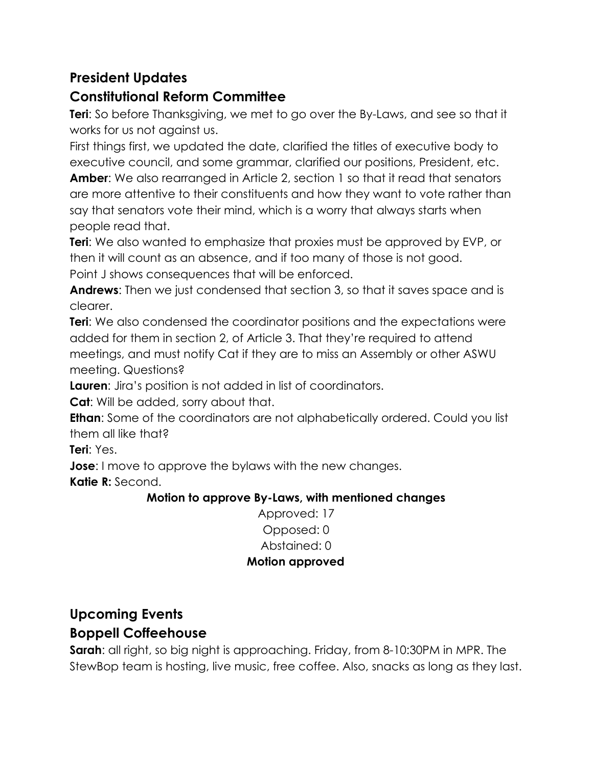# **President Updates**

# **Constitutional Reform Committee**

**Teri**: So before Thanksgiving, we met to go over the By-Laws, and see so that it works for us not against us.

First things first, we updated the date, clarified the titles of executive body to executive council, and some grammar, clarified our positions, President, etc. **Amber**: We also rearranged in Article 2, section 1 so that it read that senators are more attentive to their constituents and how they want to vote rather than say that senators vote their mind, which is a worry that always starts when people read that.

**Teri**: We also wanted to emphasize that proxies must be approved by EVP, or then it will count as an absence, and if too many of those is not good. Point J shows consequences that will be enforced.

**Andrews**: Then we just condensed that section 3, so that it saves space and is clearer.

**Teri**: We also condensed the coordinator positions and the expectations were added for them in section 2, of Article 3. That they're required to attend meetings, and must notify Cat if they are to miss an Assembly or other ASWU meeting. Questions?

**Lauren**: Jira's position is not added in list of coordinators.

**Cat**: Will be added, sorry about that.

**Ethan**: Some of the coordinators are not alphabetically ordered. Could you list them all like that?

**Teri**: Yes.

**Jose**: I move to approve the bylaws with the new changes.

**Katie R:** Second.

#### **Motion to approve By-Laws, with mentioned changes**

Approved: 17 Opposed: 0 Abstained: 0 **Motion approved**

# **Upcoming Events**

# **Boppell Coffeehouse**

**Sarah**: all right, so big night is approaching. Friday, from 8-10:30PM in MPR. The StewBop team is hosting, live music, free coffee. Also, snacks as long as they last.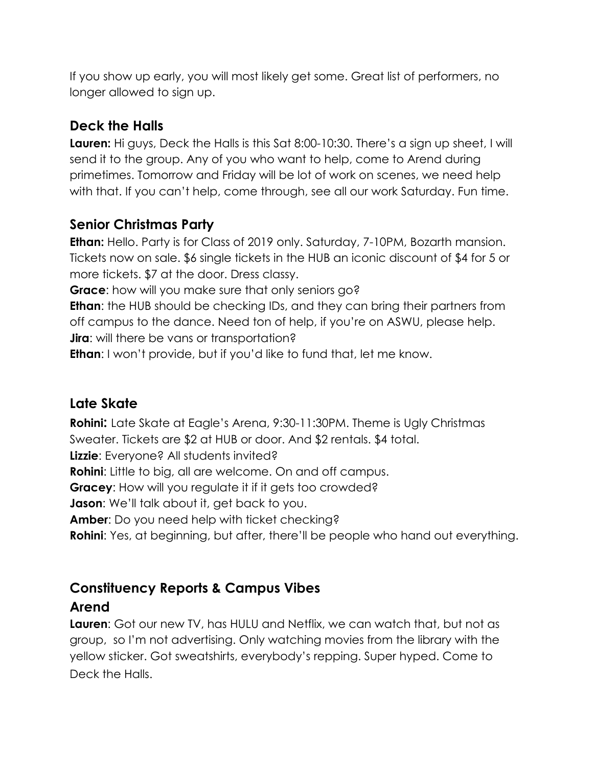If you show up early, you will most likely get some. Great list of performers, no longer allowed to sign up.

# **Deck the Halls**

**Lauren:** Hi guys, Deck the Halls is this Sat 8:00-10:30. There's a sign up sheet, I will send it to the group. Any of you who want to help, come to Arend during primetimes. Tomorrow and Friday will be lot of work on scenes, we need help with that. If you can't help, come through, see all our work Saturday. Fun time.

# **Senior Christmas Party**

**Ethan:** Hello. Party is for Class of 2019 only. Saturday, 7-10PM, Bozarth mansion. Tickets now on sale. \$6 single tickets in the HUB an iconic discount of \$4 for 5 or more tickets. \$7 at the door. Dress classy.

**Grace**: how will you make sure that only seniors go?

**Ethan**: the HUB should be checking IDs, and they can bring their partners from off campus to the dance. Need ton of help, if you're on ASWU, please help. **Jira**: will there be vans or transportation?

**Ethan**: I won't provide, but if you'd like to fund that, let me know.

# **Late Skate**

**Rohini:** Late Skate at Eagle's Arena, 9:30-11:30PM. Theme is Ugly Christmas Sweater. Tickets are \$2 at HUB or door. And \$2 rentals. \$4 total. **Lizzie**: Everyone? All students invited? **Rohini**: Little to big, all are welcome. On and off campus. **Gracey:** How will you regulate it if it gets too crowded? **Jason**: We'll talk about it, get back to you. **Amber**: Do you need help with ticket checking? **Rohini**: Yes, at beginning, but after, there'll be people who hand out everything.

# **Constituency Reports & Campus Vibes**

# **Arend**

**Lauren**: Got our new TV, has HULU and Netflix, we can watch that, but not as group, so I'm not advertising. Only watching movies from the library with the yellow sticker. Got sweatshirts, everybody's repping. Super hyped. Come to Deck the Halls.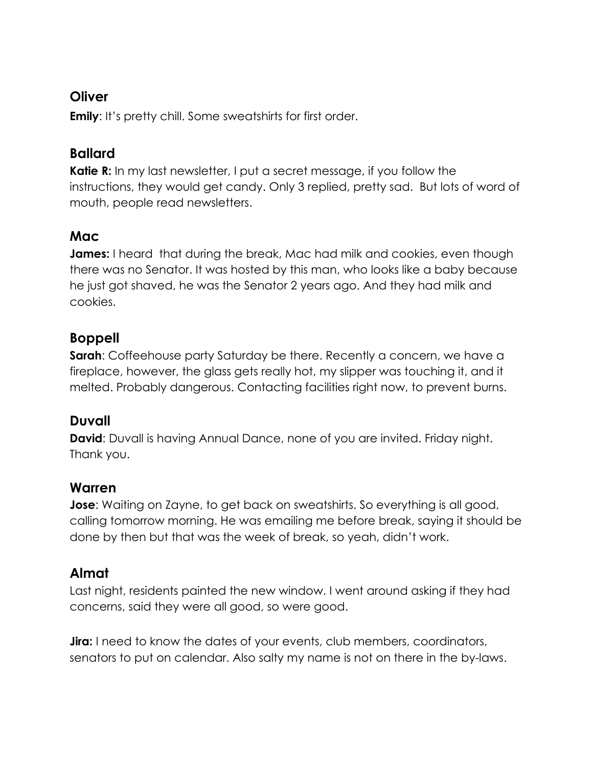#### **Oliver**

**Emily:** It's pretty chill. Some sweatshirts for first order.

# **Ballard**

**Katie R:** In my last newsletter, I put a secret message, if you follow the instructions, they would get candy. Only 3 replied, pretty sad. But lots of word of mouth, people read newsletters.

# **Mac**

**James:** I heard that during the break, Mac had milk and cookies, even though there was no Senator. It was hosted by this man, who looks like a baby because he just got shaved, he was the Senator 2 years ago. And they had milk and cookies.

# **Boppell**

**Sarah:** Coffeehouse party Saturday be there. Recently a concern, we have a fireplace, however, the glass gets really hot, my slipper was touching it, and it melted. Probably dangerous. Contacting facilities right now, to prevent burns.

# **Duvall**

**David:** Duvall is having Annual Dance, none of you are invited. Friday night. Thank you.

# **Warren**

**Jose**: Waiting on Zayne, to get back on sweatshirts. So everything is all good, calling tomorrow morning. He was emailing me before break, saying it should be done by then but that was the week of break, so yeah, didn't work.

# **Almat**

Last night, residents painted the new window. I went around asking if they had concerns, said they were all good, so were good.

**Jira:** I need to know the dates of your events, club members, coordinators, senators to put on calendar. Also salty my name is not on there in the by-laws.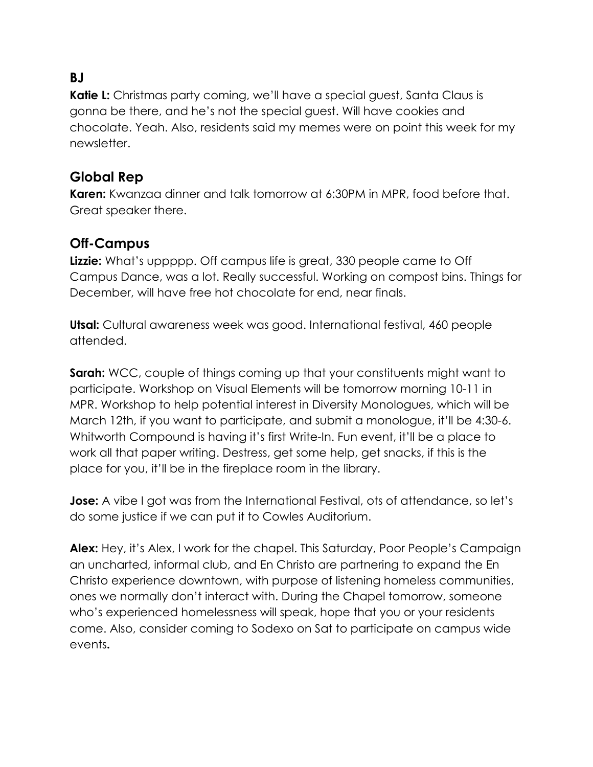# **BJ**

**Katie L:** Christmas party coming, we'll have a special guest, Santa Claus is gonna be there, and he's not the special guest. Will have cookies and chocolate. Yeah. Also, residents said my memes were on point this week for my newsletter.

#### **Global Rep**

**Karen:** Kwanzaa dinner and talk tomorrow at 6:30PM in MPR, food before that. Great speaker there.

# **Off-Campus**

**Lizzie:** What's uppppp. Off campus life is great, 330 people came to Off Campus Dance, was a lot. Really successful. Working on compost bins. Things for December, will have free hot chocolate for end, near finals.

**Utsal:** Cultural awareness week was good. International festival, 460 people attended.

**Sarah:** WCC, couple of things coming up that your constituents might want to participate. Workshop on Visual Elements will be tomorrow morning 10-11 in MPR. Workshop to help potential interest in Diversity Monologues, which will be March 12th, if you want to participate, and submit a monologue, it'll be 4:30-6. Whitworth Compound is having it's first Write-In. Fun event, it'll be a place to work all that paper writing. Destress, get some help, get snacks, if this is the place for you, it'll be in the fireplace room in the library.

**Jose:** A vibe I got was from the International Festival, ots of attendance, so let's do some justice if we can put it to Cowles Auditorium.

**Alex:** Hey, it's Alex, I work for the chapel. This Saturday, Poor People's Campaign an uncharted, informal club, and En Christo are partnering to expand the En Christo experience downtown, with purpose of listening homeless communities, ones we normally don't interact with. During the Chapel tomorrow, someone who's experienced homelessness will speak, hope that you or your residents come. Also, consider coming to Sodexo on Sat to participate on campus wide events**.**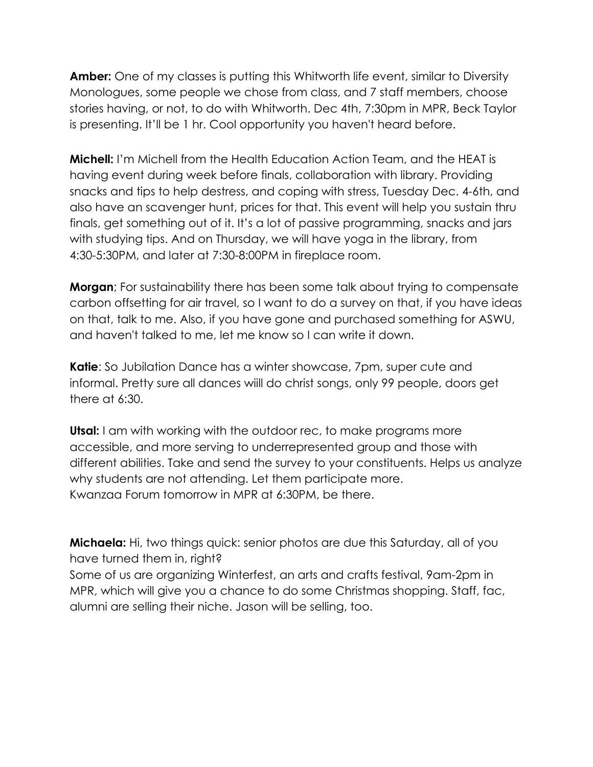**Amber:** One of my classes is putting this Whitworth life event, similar to Diversity Monologues, some people we chose from class, and 7 staff members, choose stories having, or not, to do with Whitworth. Dec 4th, 7:30pm in MPR, Beck Taylor is presenting. It'll be 1 hr. Cool opportunity you haven't heard before.

**Michell:** I'm Michell from the Health Education Action Team, and the HEAT is having event during week before finals, collaboration with library. Providing snacks and tips to help destress, and coping with stress, Tuesday Dec. 4-6th, and also have an scavenger hunt, prices for that. This event will help you sustain thru finals, get something out of it. It's a lot of passive programming, snacks and jars with studying tips. And on Thursday, we will have yoga in the library, from 4:30-5:30PM, and later at 7:30-8:00PM in fireplace room.

**Morgan**; For sustainability there has been some talk about trying to compensate carbon offsetting for air travel, so I want to do a survey on that, if you have ideas on that, talk to me. Also, if you have gone and purchased something for ASWU, and haven't talked to me, let me know so I can write it down.

**Katie**: So Jubilation Dance has a winter showcase, 7pm, super cute and informal. Pretty sure all dances wiill do christ songs, only 99 people, doors get there at 6:30.

**Utsal:** I am with working with the outdoor rec, to make programs more accessible, and more serving to underrepresented group and those with different abilities. Take and send the survey to your constituents. Helps us analyze why students are not attending. Let them participate more. Kwanzaa Forum tomorrow in MPR at 6:30PM, be there.

**Michaela:** Hi, two things quick: senior photos are due this Saturday, all of you have turned them in, right? Some of us are organizing Winterfest, an arts and crafts festival, 9am-2pm in

MPR, which will give you a chance to do some Christmas shopping. Staff, fac, alumni are selling their niche. Jason will be selling, too.